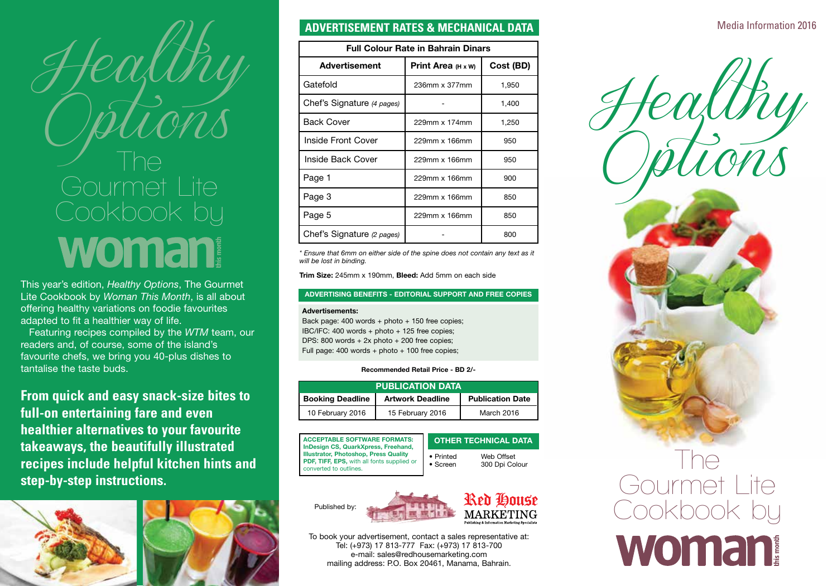

This year's edition, *Healthy Options*, The Gourmet Lite Cookbook by *Woman This Month*, is all about offering healthy variations on foodie favourites adapted to fit a healthier way of life.

Featuring recipes compiled by the *WTM* team, our readers and, of course, some of the island's favourite chefs, we bring you 40-plus dishes to tantalise the taste buds.

**From quick and easy snack-size bites to full-on entertaining fare and even healthier alternatives to your favourite takeaways, the beautifully illustrated recipes include helpful kitchen hints and step-by-step instructions.**



# **ADVERTISEMENT RATES & MECHANICAL DATA**

| <b>Full Colour Rate in Bahrain Dinars</b> |                                  |           |
|-------------------------------------------|----------------------------------|-----------|
| <b>Advertisement</b>                      | <b>Print Area</b> $(H \times W)$ | Cost (BD) |
| Gatefold                                  | 236mm x 377mm                    | 1,950     |
| Chef's Signature (4 pages)                |                                  | 1,400     |
| <b>Back Cover</b>                         | 229mm x 174mm                    | 1,250     |
| Inside Front Cover                        | 229mm x 166mm                    | 950       |
| Inside Back Cover                         | $229$ mm x 166mm                 | 950       |
| Page 1                                    | 229mm x 166mm                    | 900       |
| Page 3                                    | 229mm x 166mm                    | 850       |
| Page 5                                    | 229mm x 166mm                    | 850       |
| Chef's Signature (2 pages)                |                                  | 800       |

*\* Ensure that 6mm on either side of the spine does not contain any text as it will be lost in binding.*

Trim Size: 245mm x 190mm, Bleed: Add 5mm on each side

### ADVERTISING BENEFITS - EDITORIAL SUPPORT AND FREE COPIES

#### Advertisements:

Back page: 400 words + photo + 150 free copies; IBC/IFC: 400 words + photo + 125 free copies; DPS: 800 words + 2x photo + 200 free copies; Full page: 400 words + photo + 100 free copies;

### Recommended Retail Price - BD 2/-

| <b>PUBLICATION DATA</b> |                         |                         |  |
|-------------------------|-------------------------|-------------------------|--|
| <b>Booking Deadline</b> | <b>Artwork Deadline</b> | <b>Publication Date</b> |  |
| 10 February 2016        | 15 February 2016        | March 2016              |  |

| <b>ACCEPTABLE SOFTWARE FORMATS:</b><br>InDesign CS, QuarkXpress, Freehand,<br>Illustrator, Photoshop, Press Quality<br>PDF, TIFF, EPS, with all fonts supplied or |
|-------------------------------------------------------------------------------------------------------------------------------------------------------------------|
| converted to outlines.                                                                                                                                            |

Published by:

| <b>OTHER TECHNICAL DATA</b> |                |  |
|-----------------------------|----------------|--|
| • Printed                   | Web Offset     |  |
| $\bullet$ Screen            | 300 Dpi Colour |  |



To book your advertisement, contact a sales representative at: Tel: (+973) 17 813-777 Fax: (+973) 17 813-700 e-mail: sales@redhousemarketing.com mailing address: P.O. Box 20461, Manama, Bahrain.

# Media Information 2016